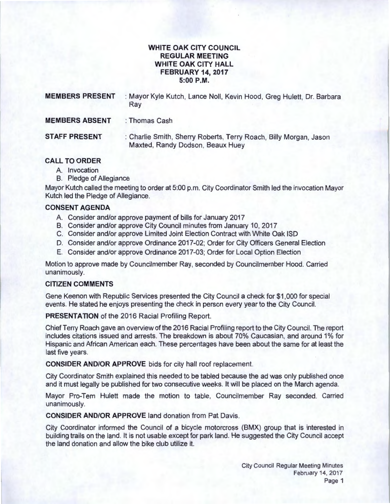# **WHITE OAK CITY COUNCIL REGULAR MEETING WHITE OAK CITY HALL FEBRUARY 14, 2017 5:00P.M.**

| <b>MEMBERS PRESENT</b> | : Mayor Kyle Kutch, Lance Noll, Kevin Hood, Greg Hulett, Dr. Barbara<br>Ray                           |
|------------------------|-------------------------------------------------------------------------------------------------------|
| <b>MEMBERS ABSENT</b>  | : Thomas Cash                                                                                         |
| <b>STAFF PRESENT</b>   | : Charlie Smith, Sherry Roberts, Terry Roach, Billy Morgan, Jason<br>Maxted, Randy Dodson, Beaux Huey |

## **CALL TO ORDER**

- A. Invocation
- B. Pledge of Allegiance

Mayor Kutch called the meeting to order at 5:00 p.m. City Coordinator Smith led the invocation Mayor Kutch led the Pledge of Allegiance.

## **CONSENT AGENDA**

- A. Consider and/or approve payment of bills for January 2017
- B. Consider and/or approve City Council minutes from January 10, 2017
- C. Consider and/or approve Limited Joint Election Contract with White Oak ISO
- D. Consider and/or approve Ordinance 2017 -02; Order for City Officers General Election
- E. Consider and/or approve Ordinance 2017 -03; Order for Local Option Election

Motion to approve made by Councilmember Ray, seconded by Councilmember Hood. Carried unanimously.

#### **CITIZEN COMMENTS**

Gene Keenan with Republic Services presented the City Council a check for \$1 ,000 for special events. He stated he enjoys presenting the check in person every year to the City Council.

**PRESENTATION** of the 2016 Racial Profiling Report.

Chief Terry Roach gave an overview of the 2016 Racial Profiling report to the City Council. The report includes citations issued and arrests. The breakdown is about 70% Caucasian, and around 1% for Hispanic and African American each. These percentages have been about the same for at least the last five years.

**CONSIDER AND/OR APPROVE** bids for city hall roof replacement.

City Coordinator Smith explained this needed to be tabled because the ad was only published once and it must legally be published for two consecutive weeks. It will be placed on the March agenda.

Mayor Pro-Tem Hulett made the motion to table, Councilmember Ray seconded. Carried unanimously.

**CONSIDER AND/OR APPROVE** land donation from Pat Davis.

City Coordinator informed the Council of a bicycle motorcross (BMX) group that is interested in building trails on the land. It is not usable except for park land. He suggested the City Council accept the land donation and allow the bike club utilize it.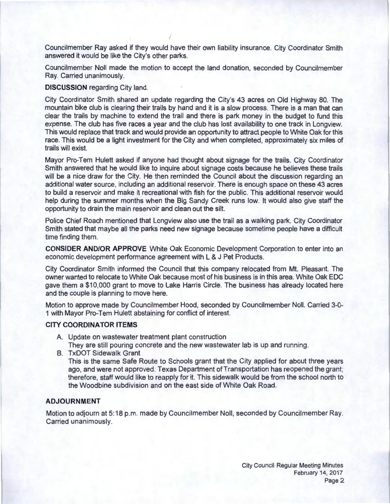Councilmember Ray asked if they would have their own liability insurance. City Coordinator Smith answered it would be like the City's other parks.

Councilmember Noll made the motion to accept the land donation, seconded by Councilmember Ray. Carried unanimously.

### **DISCUSSION** regarding City land.

City Coordinator Smith shared an update regarding the City's 43 acres on Old Highway 80. The mountain bike club is clearing their trails by hand and it is a slow process. There is a man that can clear the trails by machine to extend the trail and there is park money in the budget to fund this expense. The club has five races a year and the club has lost availability to one track in Longview. This would replace that track and would provide an opportunity to attract people to White Oak for this race. This would be a light investment for the City and when completed, approximately six miles of trails will exist.

Mayor Pro-Tem Hulett asked if anyone had thought about signage for the trails. City Coordinator Smith answered that he would like to inquire about signage costs because he believes these trails will be a nice draw for the City. He then reminded the Council about the discussion regarding an additional water source, including an additional reservoir. There is enough space on these 43 acres to build a reservoir and make it recreational with fish for the public. This additional reservoir would help during the summer months when the Big Sandy Creek runs low. It would also give staff the opportunity to drain the main reservoir and clean out the silt.

Police Chief Roach mentioned that Longview also use the trail as a walking park. City Coordinator Smith stated that maybe all the parks need new signage because sometime people have a difficult time finding them.

**CONSIDER AND/OR APPROVE** White Oak Economic Development Corporation to enter into an economic development performance agreement with L & J Pet Products.

City Coordinator Smith informed the Council that this company relocated from Mt. Pleasant. The owner wanted to relocate to White Oak because most of his business is in this area. White Oak EDC gave them a \$10,000 grant to move to Lake Harris Circle. The business has already located here and the couple is planning to move here.

Motion to approve made by Councilmember Hood, seconded by Councilmember Noll. Carried 3-0- 1 with Mayor Pro-Tem Hulett abstaining for conflict of interest.

### **CITY COORDINATOR ITEMS**

- A. Update on wastewater treatment plant construction
- They are still pouring concrete and the new wastewater lab is up and running .
- B. TxDOT Sidewalk Grant

This is the same Safe Route to Schools grant that the City applied for about three years ago, and were not approved. Texas Department of Transportation has reopened the grant; therefore, staff would like to reapply for it. This sidewalk would be from the school north to the Woodbine subdivision and on the east side of White Oak Road.

# **ADJOURNMENT**

Motion to adjourn at 5:18 p.m. made by Councilmember Noll, seconded by Councilmember Ray. Carried unanimously.